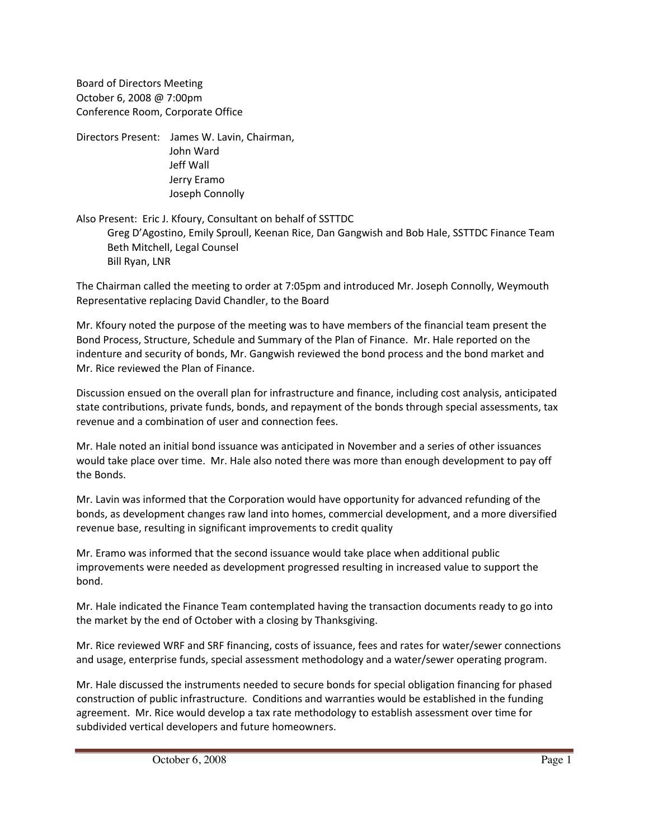Board of Directors Meeting October 6, 2008 @ 7:00pm Conference Room, Corporate Office

Directors Present: James W. Lavin, Chairman, John Ward Jeff Wall Jerry Eramo Joseph Connolly

### Also Present: Eric J. Kfoury, Consultant on behalf of SSTTDC Greg D'Agostino, Emily Sproull, Keenan Rice, Dan Gangwish and Bob Hale, SSTTDC Finance Team Beth Mitchell, Legal Counsel Bill Ryan, LNR

The Chairman called the meeting to order at 7:05pm and introduced Mr. Joseph Connolly, Weymouth Representative replacing David Chandler, to the Board

Mr. Kfoury noted the purpose of the meeting was to have members of the financial team present the Bond Process, Structure, Schedule and Summary of the Plan of Finance. Mr. Hale reported on the indenture and security of bonds, Mr. Gangwish reviewed the bond process and the bond market and Mr. Rice reviewed the Plan of Finance.

Discussion ensued on the overall plan for infrastructure and finance, including cost analysis, anticipated state contributions, private funds, bonds, and repayment of the bonds through special assessments, tax revenue and a combination of user and connection fees.

Mr. Hale noted an initial bond issuance was anticipated in November and a series of other issuances would take place over time. Mr. Hale also noted there was more than enough development to pay off the Bonds.

Mr. Lavin was informed that the Corporation would have opportunity for advanced refunding of the bonds, as development changes raw land into homes, commercial development, and a more diversified revenue base, resulting in significant improvements to credit quality

Mr. Eramo was informed that the second issuance would take place when additional public improvements were needed as development progressed resulting in increased value to support the bond.

Mr. Hale indicated the Finance Team contemplated having the transaction documents ready to go into the market by the end of October with a closing by Thanksgiving.

Mr. Rice reviewed WRF and SRF financing, costs of issuance, fees and rates for water/sewer connections and usage, enterprise funds, special assessment methodology and a water/sewer operating program.

Mr. Hale discussed the instruments needed to secure bonds for special obligation financing for phased construction of public infrastructure. Conditions and warranties would be established in the funding agreement. Mr. Rice would develop a tax rate methodology to establish assessment over time for subdivided vertical developers and future homeowners.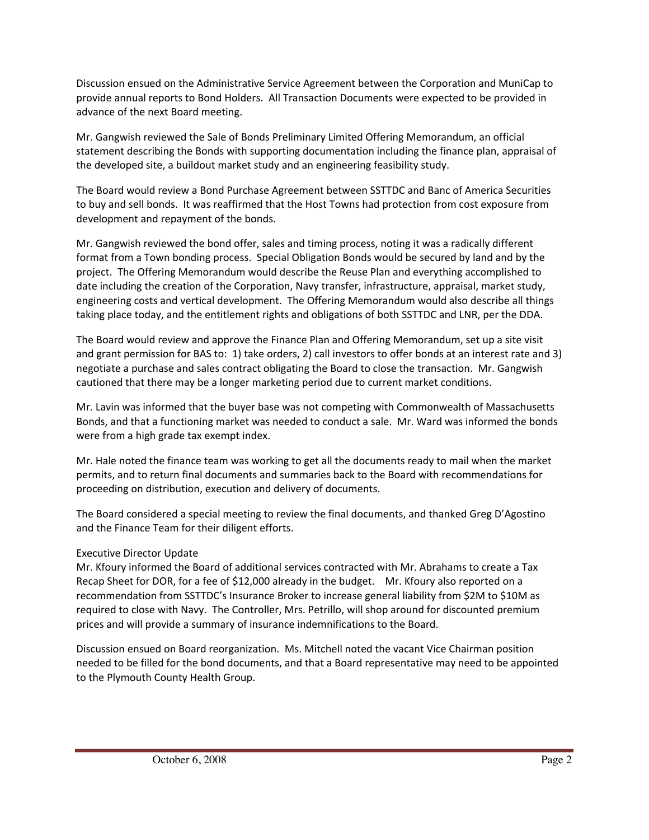Discussion ensued on the Administrative Service Agreement between the Corporation and MuniCap to provide annual reports to Bond Holders. All Transaction Documents were expected to be provided in advance of the next Board meeting.

Mr. Gangwish reviewed the Sale of Bonds Preliminary Limited Offering Memorandum, an official statement describing the Bonds with supporting documentation including the finance plan, appraisal of the developed site, a buildout market study and an engineering feasibility study.

The Board would review a Bond Purchase Agreement between SSTTDC and Banc of America Securities to buy and sell bonds. It was reaffirmed that the Host Towns had protection from cost exposure from development and repayment of the bonds.

Mr. Gangwish reviewed the bond offer, sales and timing process, noting it was a radically different format from a Town bonding process. Special Obligation Bonds would be secured by land and by the project. The Offering Memorandum would describe the Reuse Plan and everything accomplished to date including the creation of the Corporation, Navy transfer, infrastructure, appraisal, market study, engineering costs and vertical development. The Offering Memorandum would also describe all things taking place today, and the entitlement rights and obligations of both SSTTDC and LNR, per the DDA.

The Board would review and approve the Finance Plan and Offering Memorandum, set up a site visit and grant permission for BAS to: 1) take orders, 2) call investors to offer bonds at an interest rate and 3) negotiate a purchase and sales contract obligating the Board to close the transaction. Mr. Gangwish cautioned that there may be a longer marketing period due to current market conditions.

Mr. Lavin was informed that the buyer base was not competing with Commonwealth of Massachusetts Bonds, and that a functioning market was needed to conduct a sale. Mr. Ward was informed the bonds were from a high grade tax exempt index.

Mr. Hale noted the finance team was working to get all the documents ready to mail when the market permits, and to return final documents and summaries back to the Board with recommendations for proceeding on distribution, execution and delivery of documents.

The Board considered a special meeting to review the final documents, and thanked Greg D'Agostino and the Finance Team for their diligent efforts.

### Executive Director Update

Mr. Kfoury informed the Board of additional services contracted with Mr. Abrahams to create a Tax Recap Sheet for DOR, for a fee of \$12,000 already in the budget. Mr. Kfoury also reported on a recommendation from SSTTDC's Insurance Broker to increase general liability from \$2M to \$10M as required to close with Navy. The Controller, Mrs. Petrillo, will shop around for discounted premium prices and will provide a summary of insurance indemnifications to the Board.

Discussion ensued on Board reorganization. Ms. Mitchell noted the vacant Vice Chairman position needed to be filled for the bond documents, and that a Board representative may need to be appointed to the Plymouth County Health Group.